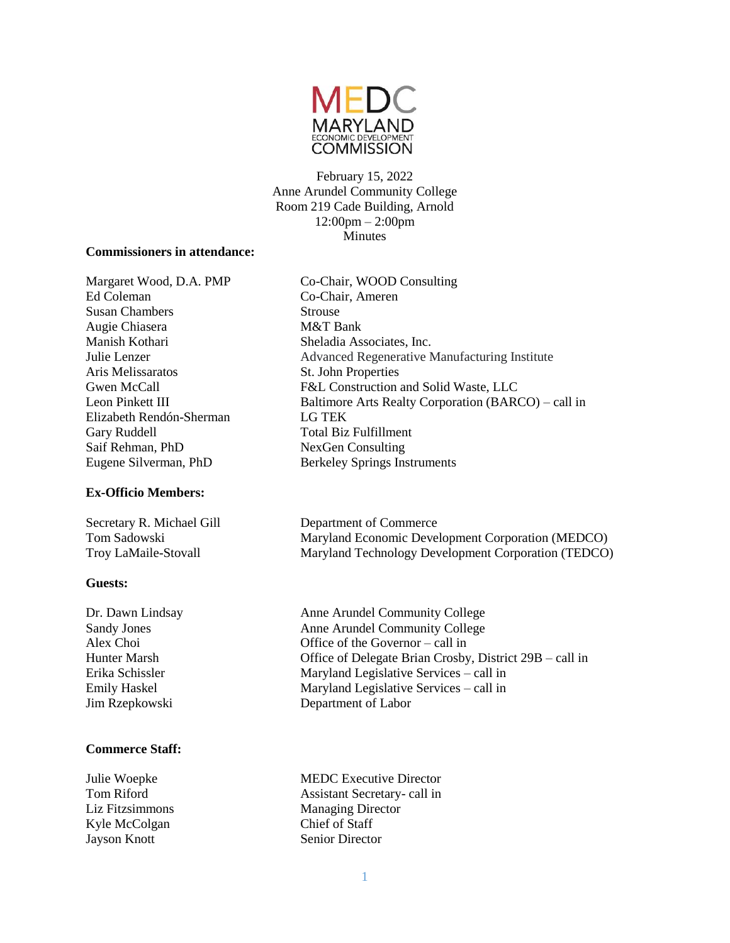

February 15, 2022 Anne Arundel Community College Room 219 Cade Building, Arnold 12:00pm – 2:00pm Minutes

#### **Commissioners in attendance:**

Ed Coleman Co-Chair, Ameren Susan Chambers Strouse Augie Chiasera M&T Bank Manish Kothari Sheladia Associates, Inc. Aris Melissaratos St. John Properties Elizabeth Rendón-Sherman LG TEK Gary Ruddell **Total Biz Fulfillment** Saif Rehman, PhD NexGen Consulting Eugene Silverman, PhD Berkeley Springs Instruments

## **Ex-Officio Members:**

## **Guests:**

## **Commerce Staff:**

Kyle McColgan Chief of Staff **Jayson Knott** Senior Director

Margaret Wood, D.A. PMP Co-Chair, WOOD Consulting Julie Lenzer Advanced Regenerative Manufacturing Institute Gwen McCall F&L Construction and Solid Waste, LLC Leon Pinkett III Baltimore Arts Realty Corporation (BARCO) – call in

Secretary R. Michael Gill Department of Commerce<br>
Tom Sadowski Maryland Economic Deve Maryland Economic Development Corporation (MEDCO) Troy LaMaile-Stovall Maryland Technology Development Corporation (TEDCO)

Dr. Dawn Lindsay Anne Arundel Community College Sandy Jones Anne Arundel Community College Alex Choi Office of the Governor – call in Hunter Marsh Office of Delegate Brian Crosby, District 29B – call in Erika Schissler Maryland Legislative Services – call in Emily Haskel Maryland Legislative Services – call in Jim Rzepkowski Department of Labor

Julie Woepke MEDC Executive Director Tom Riford Assistant Secretary- call in Liz Fitzsimmons Managing Director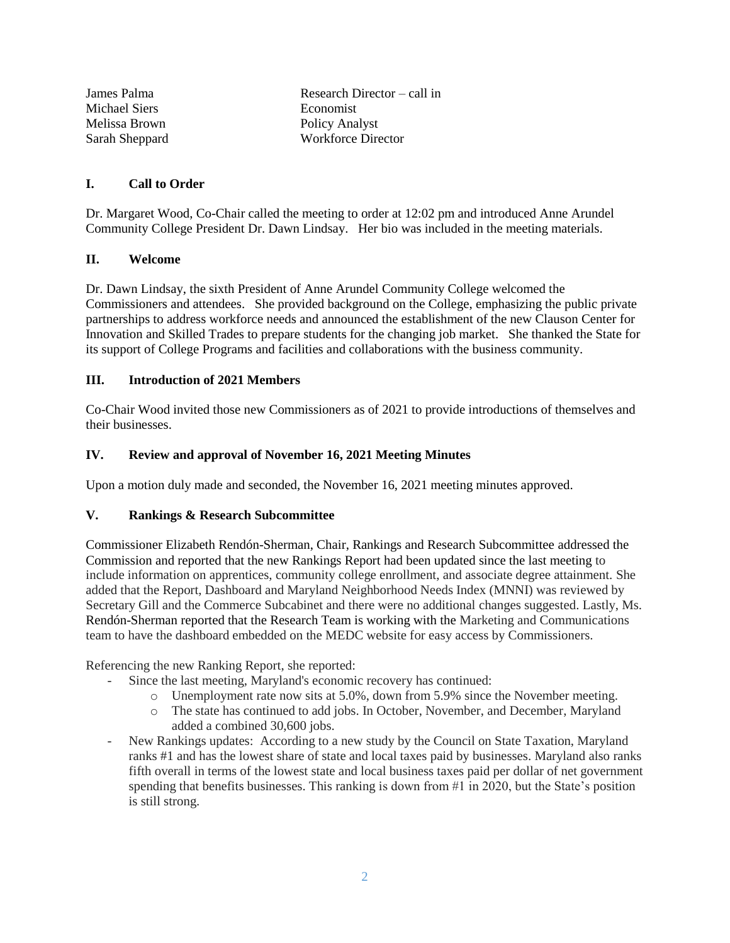| James Palma    | Research Director $-$ call in |
|----------------|-------------------------------|
| Michael Siers  | Economist                     |
| Melissa Brown  | <b>Policy Analyst</b>         |
| Sarah Sheppard | <b>Workforce Director</b>     |

## **I. Call to Order**

Dr. Margaret Wood, Co-Chair called the meeting to order at 12:02 pm and introduced Anne Arundel Community College President Dr. Dawn Lindsay. Her bio was included in the meeting materials.

## **II. Welcome**

Dr. Dawn Lindsay, the sixth President of Anne Arundel Community College welcomed the Commissioners and attendees. She provided background on the College, emphasizing the public private partnerships to address workforce needs and announced the establishment of the new Clauson Center for Innovation and Skilled Trades to prepare students for the changing job market. She thanked the State for its support of College Programs and facilities and collaborations with the business community.

#### **III. Introduction of 2021 Members**

Co-Chair Wood invited those new Commissioners as of 2021 to provide introductions of themselves and their businesses.

#### **IV. Review and approval of November 16, 2021 Meeting Minutes**

Upon a motion duly made and seconded, the November 16, 2021 meeting minutes approved.

## **V. Rankings & Research Subcommittee**

Commissioner Elizabeth Rendón-Sherman, Chair, Rankings and Research Subcommittee addressed the Commission and reported that the new Rankings Report had been updated since the last meeting to include information on apprentices, community college enrollment, and associate degree attainment. She added that the Report, Dashboard and Maryland Neighborhood Needs Index (MNNI) was reviewed by Secretary Gill and the Commerce Subcabinet and there were no additional changes suggested. Lastly, Ms. Rendón-Sherman reported that the Research Team is working with the Marketing and Communications team to have the dashboard embedded on the MEDC website for easy access by Commissioners.

Referencing the new Ranking Report, she reported:

- Since the last meeting, Maryland's economic recovery has continued:
	- o Unemployment rate now sits at 5.0%, down from 5.9% since the November meeting.
	- o The state has continued to add jobs. In October, November, and December, Maryland added a combined 30,600 jobs.
- New Rankings updates: According to a new study by the Council on State Taxation, Maryland ranks #1 and has the lowest share of state and local taxes paid by businesses. Maryland also ranks fifth overall in terms of the lowest state and local business taxes paid per dollar of net government spending that benefits businesses. This ranking is down from  $\#1$  in 2020, but the State's position is still strong.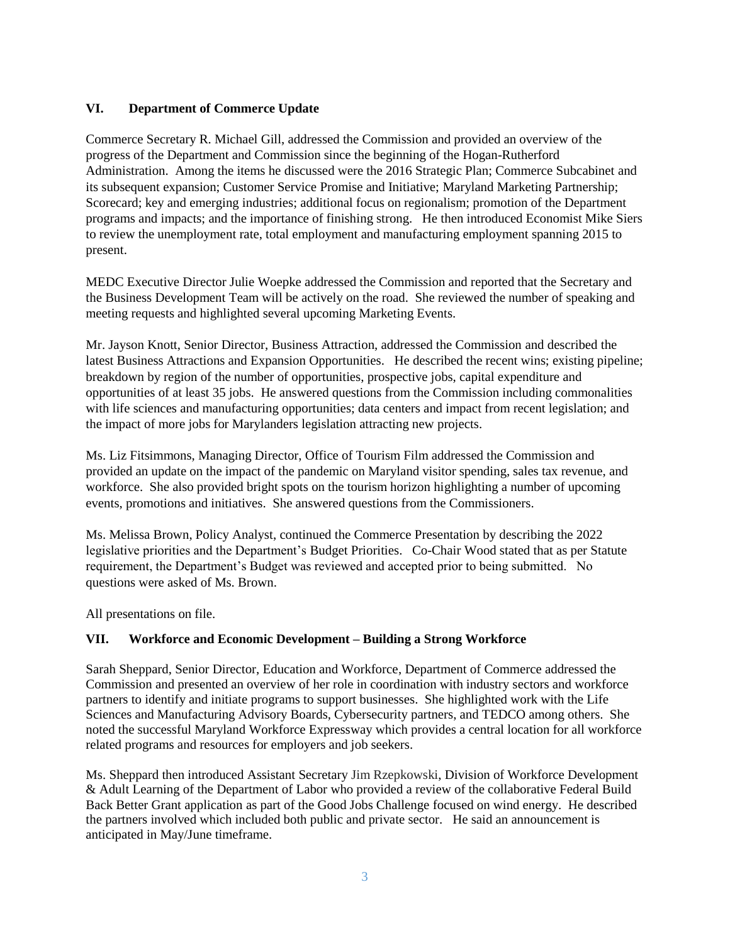# **VI. Department of Commerce Update**

Commerce Secretary R. Michael Gill, addressed the Commission and provided an overview of the progress of the Department and Commission since the beginning of the Hogan-Rutherford Administration. Among the items he discussed were the 2016 Strategic Plan; Commerce Subcabinet and its subsequent expansion; Customer Service Promise and Initiative; Maryland Marketing Partnership; Scorecard; key and emerging industries; additional focus on regionalism; promotion of the Department programs and impacts; and the importance of finishing strong. He then introduced Economist Mike Siers to review the unemployment rate, total employment and manufacturing employment spanning 2015 to present.

MEDC Executive Director Julie Woepke addressed the Commission and reported that the Secretary and the Business Development Team will be actively on the road. She reviewed the number of speaking and meeting requests and highlighted several upcoming Marketing Events.

Mr. Jayson Knott, Senior Director, Business Attraction, addressed the Commission and described the latest Business Attractions and Expansion Opportunities. He described the recent wins; existing pipeline; breakdown by region of the number of opportunities, prospective jobs, capital expenditure and opportunities of at least 35 jobs. He answered questions from the Commission including commonalities with life sciences and manufacturing opportunities; data centers and impact from recent legislation; and the impact of more jobs for Marylanders legislation attracting new projects.

Ms. Liz Fitsimmons, Managing Director, Office of Tourism Film addressed the Commission and provided an update on the impact of the pandemic on Maryland visitor spending, sales tax revenue, and workforce. She also provided bright spots on the tourism horizon highlighting a number of upcoming events, promotions and initiatives. She answered questions from the Commissioners.

Ms. Melissa Brown, Policy Analyst, continued the Commerce Presentation by describing the 2022 legislative priorities and the Department's Budget Priorities. Co-Chair Wood stated that as per Statute requirement, the Department's Budget was reviewed and accepted prior to being submitted. No questions were asked of Ms. Brown.

All presentations on file.

# **VII. Workforce and Economic Development – Building a Strong Workforce**

Sarah Sheppard, Senior Director, Education and Workforce, Department of Commerce addressed the Commission and presented an overview of her role in coordination with industry sectors and workforce partners to identify and initiate programs to support businesses. She highlighted work with the Life Sciences and Manufacturing Advisory Boards, Cybersecurity partners, and TEDCO among others. She noted the successful Maryland Workforce Expressway which provides a central location for all workforce related programs and resources for employers and job seekers.

Ms. Sheppard then introduced Assistant Secretary Jim Rzepkowski, Division of Workforce Development & Adult Learning of the Department of Labor who provided a review of the collaborative Federal Build Back Better Grant application as part of the Good Jobs Challenge focused on wind energy. He described the partners involved which included both public and private sector. He said an announcement is anticipated in May/June timeframe.